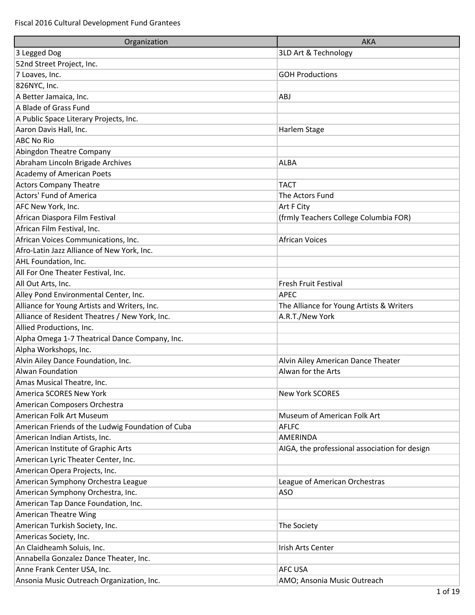| Organization                                      | <b>AKA</b>                                    |
|---------------------------------------------------|-----------------------------------------------|
| 3 Legged Dog                                      | 3LD Art & Technology                          |
| 52nd Street Project, Inc.                         |                                               |
| 7 Loaves, Inc.                                    | <b>GOH Productions</b>                        |
| 826NYC, Inc.                                      |                                               |
| A Better Jamaica, Inc.                            | <b>ABJ</b>                                    |
| A Blade of Grass Fund                             |                                               |
| A Public Space Literary Projects, Inc.            |                                               |
| Aaron Davis Hall, Inc.                            | Harlem Stage                                  |
| <b>ABC No Rio</b>                                 |                                               |
| Abingdon Theatre Company                          |                                               |
| Abraham Lincoln Brigade Archives                  | <b>ALBA</b>                                   |
| <b>Academy of American Poets</b>                  |                                               |
| <b>Actors Company Theatre</b>                     | <b>TACT</b>                                   |
| Actors' Fund of America                           | The Actors Fund                               |
| AFC New York, Inc.                                | Art F City                                    |
| African Diaspora Film Festival                    | (frmly Teachers College Columbia FOR)         |
| African Film Festival, Inc.                       |                                               |
| African Voices Communications, Inc.               | <b>African Voices</b>                         |
| Afro-Latin Jazz Alliance of New York, Inc.        |                                               |
| AHL Foundation, Inc.                              |                                               |
| All For One Theater Festival, Inc.                |                                               |
| All Out Arts, Inc.                                | Fresh Fruit Festival                          |
| Alley Pond Environmental Center, Inc.             | <b>APEC</b>                                   |
| Alliance for Young Artists and Writers, Inc.      | The Alliance for Young Artists & Writers      |
| Alliance of Resident Theatres / New York, Inc.    | A.R.T./New York                               |
| Allied Productions, Inc.                          |                                               |
| Alpha Omega 1-7 Theatrical Dance Company, Inc.    |                                               |
| Alpha Workshops, Inc.                             |                                               |
| Alvin Ailey Dance Foundation, Inc.                | Alvin Ailey American Dance Theater            |
| Alwan Foundation                                  | Alwan for the Arts                            |
| Amas Musical Theatre, Inc.                        |                                               |
| America SCORES New York                           | New York SCORES                               |
| American Composers Orchestra                      |                                               |
| American Folk Art Museum                          | Museum of American Folk Art                   |
| American Friends of the Ludwig Foundation of Cuba | <b>AFLFC</b>                                  |
| American Indian Artists, Inc.                     | AMERINDA                                      |
| American Institute of Graphic Arts                | AIGA, the professional association for design |
| American Lyric Theater Center, Inc.               |                                               |
| American Opera Projects, Inc.                     |                                               |
| American Symphony Orchestra League                | League of American Orchestras                 |
| American Symphony Orchestra, Inc.                 | <b>ASO</b>                                    |
| American Tap Dance Foundation, Inc.               |                                               |
| American Theatre Wing                             |                                               |
| American Turkish Society, Inc.                    | The Society                                   |
| Americas Society, Inc.                            |                                               |
| An Claidheamh Soluis, Inc.                        | Irish Arts Center                             |
| Annabella Gonzalez Dance Theater, Inc.            |                                               |
| Anne Frank Center USA, Inc.                       | <b>AFC USA</b>                                |
| Ansonia Music Outreach Organization, Inc.         | AMO; Ansonia Music Outreach                   |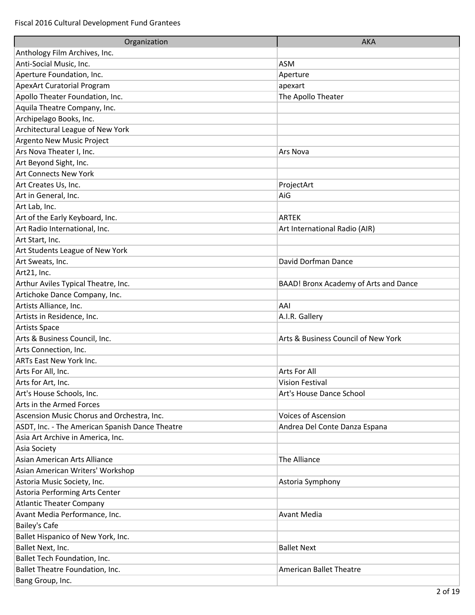| Organization                                    | <b>AKA</b>                            |
|-------------------------------------------------|---------------------------------------|
| Anthology Film Archives, Inc.                   |                                       |
| Anti-Social Music, Inc.                         | <b>ASM</b>                            |
| Aperture Foundation, Inc.                       | Aperture                              |
| <b>ApexArt Curatorial Program</b>               | apexart                               |
| Apollo Theater Foundation, Inc.                 | The Apollo Theater                    |
| Aquila Theatre Company, Inc.                    |                                       |
| Archipelago Books, Inc.                         |                                       |
| Architectural League of New York                |                                       |
| Argento New Music Project                       |                                       |
| Ars Nova Theater I, Inc.                        | Ars Nova                              |
| Art Beyond Sight, Inc.                          |                                       |
| <b>Art Connects New York</b>                    |                                       |
| Art Creates Us, Inc.                            | ProjectArt                            |
| Art in General, Inc.                            | AiG                                   |
| Art Lab, Inc.                                   |                                       |
| Art of the Early Keyboard, Inc.                 | <b>ARTEK</b>                          |
| Art Radio International, Inc.                   | Art International Radio (AIR)         |
| Art Start, Inc.                                 |                                       |
| Art Students League of New York                 |                                       |
| Art Sweats, Inc.                                | David Dorfman Dance                   |
| Art21, Inc.                                     |                                       |
| Arthur Aviles Typical Theatre, Inc.             | BAAD! Bronx Academy of Arts and Dance |
| Artichoke Dance Company, Inc.                   |                                       |
| Artists Alliance, Inc.                          | AAI                                   |
| Artists in Residence, Inc.                      | A.I.R. Gallery                        |
| Artists Space                                   |                                       |
| Arts & Business Council, Inc.                   | Arts & Business Council of New York   |
| Arts Connection, Inc.                           |                                       |
| <b>ARTs East New York Inc.</b>                  |                                       |
| Arts For All, Inc.                              | Arts For All                          |
| Arts for Art, Inc.                              | Vision Festival                       |
| Art's House Schools, Inc.                       | Art's House Dance School              |
| Arts in the Armed Forces                        |                                       |
| Ascension Music Chorus and Orchestra, Inc.      | <b>Voices of Ascension</b>            |
| ASDT, Inc. - The American Spanish Dance Theatre | Andrea Del Conte Danza Espana         |
| Asia Art Archive in America, Inc.               |                                       |
| Asia Society                                    |                                       |
| Asian American Arts Alliance                    | The Alliance                          |
| Asian American Writers' Workshop                |                                       |
| Astoria Music Society, Inc.                     | Astoria Symphony                      |
| Astoria Performing Arts Center                  |                                       |
| <b>Atlantic Theater Company</b>                 |                                       |
| Avant Media Performance, Inc.                   | <b>Avant Media</b>                    |
| <b>Bailey's Cafe</b>                            |                                       |
| Ballet Hispanico of New York, Inc.              |                                       |
| Ballet Next, Inc.                               | <b>Ballet Next</b>                    |
| Ballet Tech Foundation, Inc.                    |                                       |
| Ballet Theatre Foundation, Inc.                 | <b>American Ballet Theatre</b>        |
| Bang Group, Inc.                                |                                       |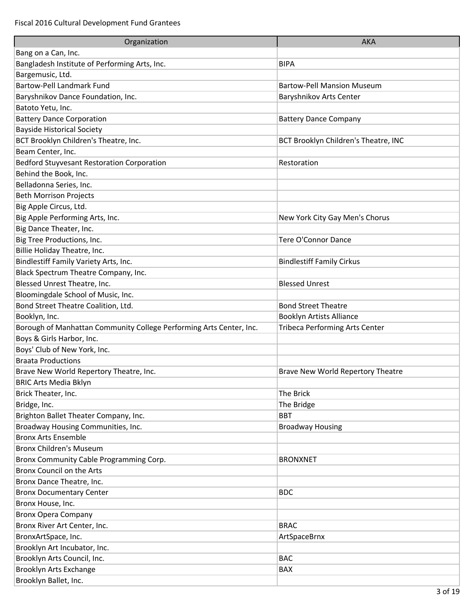| Organization                                                        | <b>AKA</b>                            |
|---------------------------------------------------------------------|---------------------------------------|
| Bang on a Can, Inc.                                                 |                                       |
| Bangladesh Institute of Performing Arts, Inc.                       | <b>BIPA</b>                           |
| Bargemusic, Ltd.                                                    |                                       |
| <b>Bartow-Pell Landmark Fund</b>                                    | <b>Bartow-Pell Mansion Museum</b>     |
| Baryshnikov Dance Foundation, Inc.                                  | Baryshnikov Arts Center               |
| Batoto Yetu, Inc.                                                   |                                       |
| <b>Battery Dance Corporation</b>                                    | <b>Battery Dance Company</b>          |
| <b>Bayside Historical Society</b>                                   |                                       |
| BCT Brooklyn Children's Theatre, Inc.                               | BCT Brooklyn Children's Theatre, INC  |
| Beam Center, Inc.                                                   |                                       |
| <b>Bedford Stuyvesant Restoration Corporation</b>                   | Restoration                           |
| Behind the Book, Inc.                                               |                                       |
| Belladonna Series, Inc.                                             |                                       |
| <b>Beth Morrison Projects</b>                                       |                                       |
| Big Apple Circus, Ltd.                                              |                                       |
| Big Apple Performing Arts, Inc.                                     | New York City Gay Men's Chorus        |
| Big Dance Theater, Inc.                                             |                                       |
| Big Tree Productions, Inc.                                          | <b>Tere O'Connor Dance</b>            |
| Billie Holiday Theatre, Inc.                                        |                                       |
| Bindlestiff Family Variety Arts, Inc.                               | <b>Bindlestiff Family Cirkus</b>      |
| Black Spectrum Theatre Company, Inc.                                |                                       |
| Blessed Unrest Theatre, Inc.                                        | <b>Blessed Unrest</b>                 |
| Bloomingdale School of Music, Inc.                                  |                                       |
| Bond Street Theatre Coalition, Ltd.                                 | <b>Bond Street Theatre</b>            |
| Booklyn, Inc.                                                       | <b>Booklyn Artists Alliance</b>       |
| Borough of Manhattan Community College Performing Arts Center, Inc. | <b>Tribeca Performing Arts Center</b> |
| Boys & Girls Harbor, Inc.                                           |                                       |
| Boys' Club of New York, Inc.                                        |                                       |
| <b>Braata Productions</b>                                           |                                       |
| Brave New World Repertory Theatre, Inc.                             | Brave New World Repertory Theatre     |
| <b>BRIC Arts Media Bklyn</b>                                        |                                       |
| Brick Theater, Inc.                                                 | The Brick                             |
| Bridge, Inc.                                                        | The Bridge                            |
| Brighton Ballet Theater Company, Inc.                               | <b>BBT</b>                            |
| Broadway Housing Communities, Inc.                                  | <b>Broadway Housing</b>               |
| <b>Bronx Arts Ensemble</b>                                          |                                       |
| <b>Bronx Children's Museum</b>                                      |                                       |
| Bronx Community Cable Programming Corp.                             | <b>BRONXNET</b>                       |
| <b>Bronx Council on the Arts</b>                                    |                                       |
| Bronx Dance Theatre, Inc.                                           |                                       |
| <b>Bronx Documentary Center</b>                                     | <b>BDC</b>                            |
| Bronx House, Inc.                                                   |                                       |
| <b>Bronx Opera Company</b>                                          |                                       |
| Bronx River Art Center, Inc.                                        | <b>BRAC</b>                           |
| BronxArtSpace, Inc.                                                 | ArtSpaceBrnx                          |
| Brooklyn Art Incubator, Inc.                                        |                                       |
| Brooklyn Arts Council, Inc.                                         | <b>BAC</b>                            |
| Brooklyn Arts Exchange                                              | BAX                                   |
| Brooklyn Ballet, Inc.                                               |                                       |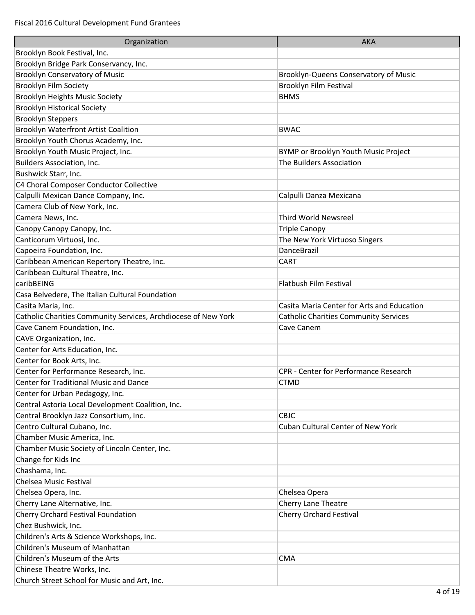| Organization                                                   | <b>AKA</b>                                   |
|----------------------------------------------------------------|----------------------------------------------|
| Brooklyn Book Festival, Inc.                                   |                                              |
| Brooklyn Bridge Park Conservancy, Inc.                         |                                              |
| <b>Brooklyn Conservatory of Music</b>                          | Brooklyn-Queens Conservatory of Music        |
| Brooklyn Film Society                                          | <b>Brooklyn Film Festival</b>                |
| <b>Brooklyn Heights Music Society</b>                          | <b>BHMS</b>                                  |
| <b>Brooklyn Historical Society</b>                             |                                              |
| <b>Brooklyn Steppers</b>                                       |                                              |
| Brooklyn Waterfront Artist Coalition                           | <b>BWAC</b>                                  |
| Brooklyn Youth Chorus Academy, Inc.                            |                                              |
| Brooklyn Youth Music Project, Inc.                             | BYMP or Brooklyn Youth Music Project         |
| <b>Builders Association, Inc.</b>                              | The Builders Association                     |
| Bushwick Starr, Inc.                                           |                                              |
| C4 Choral Composer Conductor Collective                        |                                              |
| Calpulli Mexican Dance Company, Inc.                           | Calpulli Danza Mexicana                      |
| Camera Club of New York, Inc.                                  |                                              |
| Camera News, Inc.                                              | <b>Third World Newsreel</b>                  |
| Canopy Canopy Canopy, Inc.                                     | <b>Triple Canopy</b>                         |
| Canticorum Virtuosi, Inc.                                      | The New York Virtuoso Singers                |
| Capoeira Foundation, Inc.                                      | <b>DanceBrazil</b>                           |
| Caribbean American Repertory Theatre, Inc.                     | <b>CART</b>                                  |
| Caribbean Cultural Theatre, Inc.                               |                                              |
| caribBEING                                                     | Flatbush Film Festival                       |
| Casa Belvedere, The Italian Cultural Foundation                |                                              |
| Casita Maria, Inc.                                             | Casita Maria Center for Arts and Education   |
| Catholic Charities Community Services, Archdiocese of New York | <b>Catholic Charities Community Services</b> |
| Cave Canem Foundation, Inc.                                    | Cave Canem                                   |
| CAVE Organization, Inc.                                        |                                              |
| Center for Arts Education, Inc.                                |                                              |
| Center for Book Arts, Inc.                                     |                                              |
| Center for Performance Research, Inc.                          | <b>CPR - Center for Performance Research</b> |
| Center for Traditional Music and Dance                         | <b>CTMD</b>                                  |
| Center for Urban Pedagogy, Inc.                                |                                              |
| Central Astoria Local Development Coalition, Inc.              |                                              |
| Central Brooklyn Jazz Consortium, Inc.                         | <b>CBJC</b>                                  |
| Centro Cultural Cubano, Inc.                                   | Cuban Cultural Center of New York            |
| Chamber Music America, Inc.                                    |                                              |
| Chamber Music Society of Lincoln Center, Inc.                  |                                              |
| Change for Kids Inc                                            |                                              |
| Chashama, Inc.                                                 |                                              |
| Chelsea Music Festival                                         |                                              |
| Chelsea Opera, Inc.                                            | Chelsea Opera                                |
| Cherry Lane Alternative, Inc.                                  | Cherry Lane Theatre                          |
| Cherry Orchard Festival Foundation                             | <b>Cherry Orchard Festival</b>               |
| Chez Bushwick, Inc.                                            |                                              |
| Children's Arts & Science Workshops, Inc.                      |                                              |
| Children's Museum of Manhattan                                 |                                              |
| Children's Museum of the Arts                                  | <b>CMA</b>                                   |
| Chinese Theatre Works, Inc.                                    |                                              |
| Church Street School for Music and Art, Inc.                   |                                              |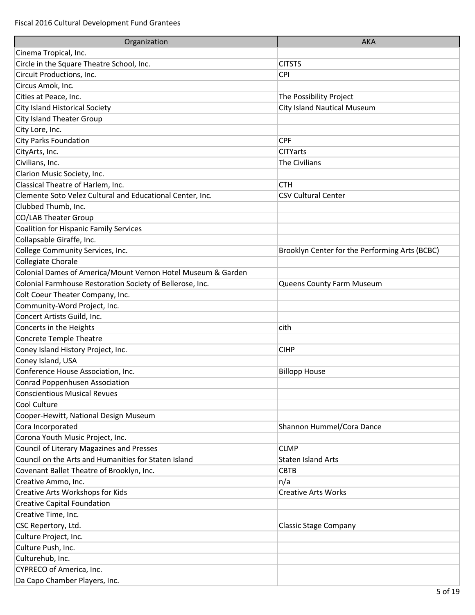| Organization                                                 | <b>AKA</b>                                     |
|--------------------------------------------------------------|------------------------------------------------|
| Cinema Tropical, Inc.                                        |                                                |
| Circle in the Square Theatre School, Inc.                    | <b>CITSTS</b>                                  |
| Circuit Productions, Inc.                                    | CPI                                            |
| Circus Amok, Inc.                                            |                                                |
| Cities at Peace, Inc.                                        | The Possibility Project                        |
| City Island Historical Society                               | <b>City Island Nautical Museum</b>             |
| <b>City Island Theater Group</b>                             |                                                |
| City Lore, Inc.                                              |                                                |
| <b>City Parks Foundation</b>                                 | <b>CPF</b>                                     |
| CityArts, Inc.                                               | <b>CITYarts</b>                                |
| Civilians, Inc.                                              | The Civilians                                  |
| Clarion Music Society, Inc.                                  |                                                |
| Classical Theatre of Harlem, Inc.                            | <b>CTH</b>                                     |
| Clemente Soto Velez Cultural and Educational Center, Inc.    | <b>CSV Cultural Center</b>                     |
| Clubbed Thumb, Inc.                                          |                                                |
| CO/LAB Theater Group                                         |                                                |
| <b>Coalition for Hispanic Family Services</b>                |                                                |
| Collapsable Giraffe, Inc.                                    |                                                |
| College Community Services, Inc.                             | Brooklyn Center for the Performing Arts (BCBC) |
| Collegiate Chorale                                           |                                                |
| Colonial Dames of America/Mount Vernon Hotel Museum & Garden |                                                |
| Colonial Farmhouse Restoration Society of Bellerose, Inc.    | Queens County Farm Museum                      |
| Colt Coeur Theater Company, Inc.                             |                                                |
| Community-Word Project, Inc.                                 |                                                |
| Concert Artists Guild, Inc.                                  |                                                |
| Concerts in the Heights                                      | cith                                           |
| <b>Concrete Temple Theatre</b>                               |                                                |
| Coney Island History Project, Inc.                           | <b>CIHP</b>                                    |
| Coney Island, USA                                            |                                                |
| Conference House Association, Inc.                           | <b>Billopp House</b>                           |
| Conrad Poppenhusen Association                               |                                                |
| <b>Conscientious Musical Revues</b>                          |                                                |
| Cool Culture                                                 |                                                |
| Cooper-Hewitt, National Design Museum                        |                                                |
| Cora Incorporated                                            | Shannon Hummel/Cora Dance                      |
| Corona Youth Music Project, Inc.                             |                                                |
| <b>Council of Literary Magazines and Presses</b>             | <b>CLMP</b>                                    |
| Council on the Arts and Humanities for Staten Island         | <b>Staten Island Arts</b>                      |
| Covenant Ballet Theatre of Brooklyn, Inc.                    | <b>CBTB</b>                                    |
| Creative Ammo, Inc.                                          | n/a                                            |
| Creative Arts Workshops for Kids                             | <b>Creative Arts Works</b>                     |
| <b>Creative Capital Foundation</b>                           |                                                |
| Creative Time, Inc.                                          |                                                |
| CSC Repertory, Ltd.                                          | <b>Classic Stage Company</b>                   |
| Culture Project, Inc.                                        |                                                |
| Culture Push, Inc.                                           |                                                |
| Culturehub, Inc.                                             |                                                |
| CYPRECO of America, Inc.                                     |                                                |
| Da Capo Chamber Players, Inc.                                |                                                |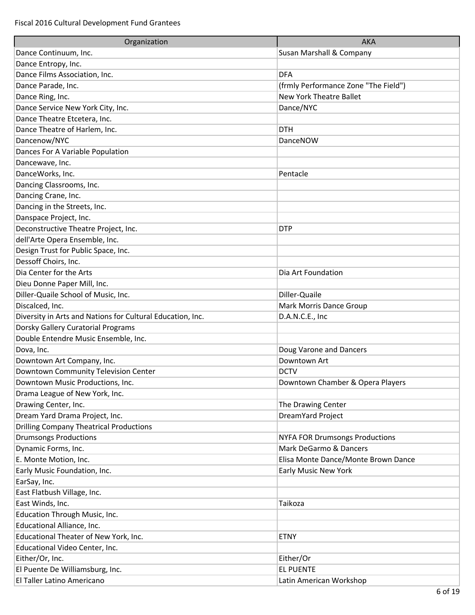| Organization                                               | <b>AKA</b>                            |
|------------------------------------------------------------|---------------------------------------|
| Dance Continuum, Inc.                                      | Susan Marshall & Company              |
| Dance Entropy, Inc.                                        |                                       |
| Dance Films Association, Inc.                              | <b>DFA</b>                            |
| Dance Parade, Inc.                                         | (frmly Performance Zone "The Field")  |
| Dance Ring, Inc.                                           | <b>New York Theatre Ballet</b>        |
| Dance Service New York City, Inc.                          | Dance/NYC                             |
| Dance Theatre Etcetera, Inc.                               |                                       |
| Dance Theatre of Harlem, Inc.                              | <b>DTH</b>                            |
| Dancenow/NYC                                               | DanceNOW                              |
| Dances For A Variable Population                           |                                       |
| Dancewave, Inc.                                            |                                       |
| DanceWorks, Inc.                                           | Pentacle                              |
| Dancing Classrooms, Inc.                                   |                                       |
| Dancing Crane, Inc.                                        |                                       |
| Dancing in the Streets, Inc.                               |                                       |
| Danspace Project, Inc.                                     |                                       |
| Deconstructive Theatre Project, Inc.                       | <b>DTP</b>                            |
| dell'Arte Opera Ensemble, Inc.                             |                                       |
| Design Trust for Public Space, Inc.                        |                                       |
| Dessoff Choirs, Inc.                                       |                                       |
| Dia Center for the Arts                                    | Dia Art Foundation                    |
| Dieu Donne Paper Mill, Inc.                                |                                       |
| Diller-Quaile School of Music, Inc.                        | Diller-Quaile                         |
| Discalced, Inc.                                            | <b>Mark Morris Dance Group</b>        |
| Diversity in Arts and Nations for Cultural Education, Inc. | D.A.N.C.E., Inc                       |
| Dorsky Gallery Curatorial Programs                         |                                       |
| Double Entendre Music Ensemble, Inc.                       |                                       |
| Dova, Inc.                                                 | Doug Varone and Dancers               |
| Downtown Art Company, Inc.                                 | Downtown Art                          |
| Downtown Community Television Center                       | <b>DCTV</b>                           |
| Downtown Music Productions, Inc.                           | Downtown Chamber & Opera Players      |
| Drama League of New York, Inc.                             |                                       |
| Drawing Center, Inc.                                       | The Drawing Center                    |
| Dream Yard Drama Project, Inc.                             | DreamYard Project                     |
| <b>Drilling Company Theatrical Productions</b>             |                                       |
| <b>Drumsongs Productions</b>                               | <b>NYFA FOR Drumsongs Productions</b> |
| Dynamic Forms, Inc.                                        | Mark DeGarmo & Dancers                |
| E. Monte Motion, Inc.                                      | Elisa Monte Dance/Monte Brown Dance   |
| Early Music Foundation, Inc.                               | Early Music New York                  |
| EarSay, Inc.                                               |                                       |
| East Flatbush Village, Inc.                                |                                       |
| East Winds, Inc.                                           | Taikoza                               |
| Education Through Music, Inc.                              |                                       |
| Educational Alliance, Inc.                                 |                                       |
| Educational Theater of New York, Inc.                      | <b>ETNY</b>                           |
| Educational Video Center, Inc.                             |                                       |
| Either/Or, Inc.                                            | Either/Or                             |
| El Puente De Williamsburg, Inc.                            | <b>EL PUENTE</b>                      |
| El Taller Latino Americano                                 | Latin American Workshop               |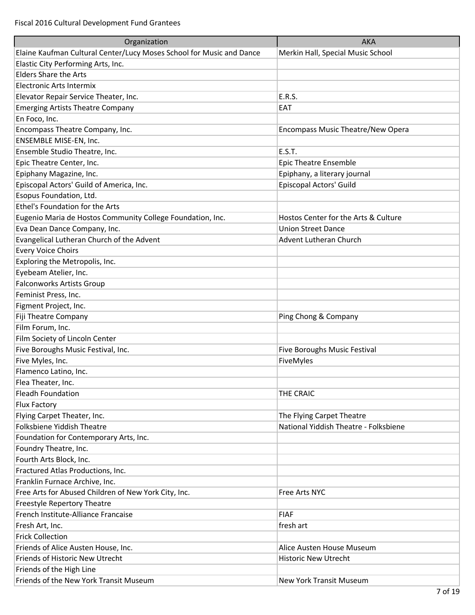| Organization                                                         | <b>AKA</b>                            |
|----------------------------------------------------------------------|---------------------------------------|
| Elaine Kaufman Cultural Center/Lucy Moses School for Music and Dance | Merkin Hall, Special Music School     |
| Elastic City Performing Arts, Inc.                                   |                                       |
| <b>Elders Share the Arts</b>                                         |                                       |
| Electronic Arts Intermix                                             |                                       |
| Elevator Repair Service Theater, Inc.                                | E.R.S.                                |
| <b>Emerging Artists Theatre Company</b>                              | EAT                                   |
| En Foco, Inc.                                                        |                                       |
| Encompass Theatre Company, Inc.                                      | Encompass Music Theatre/New Opera     |
| ENSEMBLE MISE-EN, Inc.                                               |                                       |
| Ensemble Studio Theatre, Inc.                                        | E.S.T.                                |
| Epic Theatre Center, Inc.                                            | Epic Theatre Ensemble                 |
| Epiphany Magazine, Inc.                                              | Epiphany, a literary journal          |
| Episcopal Actors' Guild of America, Inc.                             | Episcopal Actors' Guild               |
| Esopus Foundation, Ltd.                                              |                                       |
| Ethel's Foundation for the Arts                                      |                                       |
| Eugenio Maria de Hostos Community College Foundation, Inc.           | Hostos Center for the Arts & Culture  |
| Eva Dean Dance Company, Inc.                                         | <b>Union Street Dance</b>             |
| Evangelical Lutheran Church of the Advent                            | Advent Lutheran Church                |
| <b>Every Voice Choirs</b>                                            |                                       |
|                                                                      |                                       |
| Exploring the Metropolis, Inc.                                       |                                       |
| Eyebeam Atelier, Inc.                                                |                                       |
| <b>Falconworks Artists Group</b>                                     |                                       |
| Feminist Press, Inc.                                                 |                                       |
| Figment Project, Inc.                                                |                                       |
| Fiji Theatre Company                                                 | Ping Chong & Company                  |
| Film Forum, Inc.                                                     |                                       |
| Film Society of Lincoln Center                                       |                                       |
| Five Boroughs Music Festival, Inc.                                   | Five Boroughs Music Festival          |
| Five Myles, Inc.                                                     | FiveMyles                             |
| Flamenco Latino, Inc.                                                |                                       |
| Flea Theater, Inc.                                                   |                                       |
| <b>Fleadh Foundation</b>                                             | THE CRAIC                             |
| Flux Factory                                                         |                                       |
| Flying Carpet Theater, Inc.                                          | The Flying Carpet Theatre             |
| Folksbiene Yiddish Theatre                                           | National Yiddish Theatre - Folksbiene |
| Foundation for Contemporary Arts, Inc.                               |                                       |
| Foundry Theatre, Inc.                                                |                                       |
| Fourth Arts Block, Inc.                                              |                                       |
| Fractured Atlas Productions, Inc.                                    |                                       |
| Franklin Furnace Archive, Inc.                                       |                                       |
| Free Arts for Abused Children of New York City, Inc.                 | Free Arts NYC                         |
| Freestyle Repertory Theatre                                          |                                       |
| French Institute-Alliance Francaise                                  | <b>FIAF</b>                           |
| Fresh Art, Inc.                                                      | fresh art                             |
| <b>Frick Collection</b>                                              |                                       |
| Friends of Alice Austen House, Inc.                                  | Alice Austen House Museum             |
| Friends of Historic New Utrecht                                      | <b>Historic New Utrecht</b>           |
| Friends of the High Line                                             |                                       |
| Friends of the New York Transit Museum                               | New York Transit Museum               |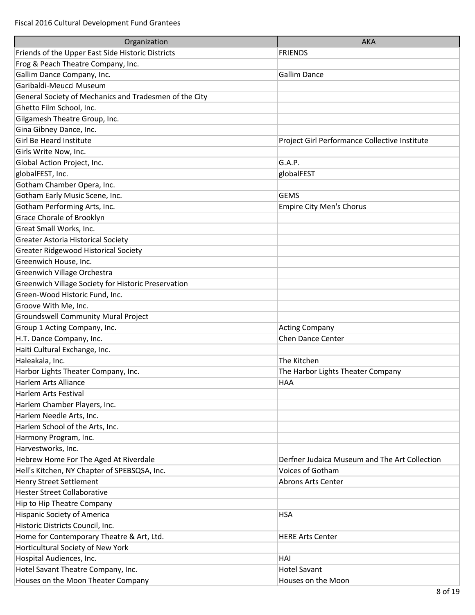| Organization                                           | <b>AKA</b>                                    |
|--------------------------------------------------------|-----------------------------------------------|
| Friends of the Upper East Side Historic Districts      | <b>FRIENDS</b>                                |
| Frog & Peach Theatre Company, Inc.                     |                                               |
| Gallim Dance Company, Inc.                             | <b>Gallim Dance</b>                           |
| Garibaldi-Meucci Museum                                |                                               |
| General Society of Mechanics and Tradesmen of the City |                                               |
| Ghetto Film School, Inc.                               |                                               |
| Gilgamesh Theatre Group, Inc.                          |                                               |
| Gina Gibney Dance, Inc.                                |                                               |
| Girl Be Heard Institute                                | Project Girl Performance Collective Institute |
| Girls Write Now, Inc.                                  |                                               |
| Global Action Project, Inc.                            | G.A.P.                                        |
| globalFEST, Inc.                                       | globalFEST                                    |
| Gotham Chamber Opera, Inc.                             |                                               |
| Gotham Early Music Scene, Inc.                         | <b>GEMS</b>                                   |
| Gotham Performing Arts, Inc.                           | <b>Empire City Men's Chorus</b>               |
| Grace Chorale of Brooklyn                              |                                               |
| Great Small Works, Inc.                                |                                               |
| <b>Greater Astoria Historical Society</b>              |                                               |
| <b>Greater Ridgewood Historical Society</b>            |                                               |
| Greenwich House, Inc.                                  |                                               |
| Greenwich Village Orchestra                            |                                               |
| Greenwich Village Society for Historic Preservation    |                                               |
| Green-Wood Historic Fund, Inc.                         |                                               |
| Groove With Me, Inc.                                   |                                               |
| <b>Groundswell Community Mural Project</b>             |                                               |
| Group 1 Acting Company, Inc.                           | <b>Acting Company</b>                         |
| H.T. Dance Company, Inc.                               | <b>Chen Dance Center</b>                      |
| Haiti Cultural Exchange, Inc.                          |                                               |
| Haleakala, Inc.                                        | The Kitchen                                   |
| Harbor Lights Theater Company, Inc.                    | The Harbor Lights Theater Company             |
| Harlem Arts Alliance                                   | <b>HAA</b>                                    |
| Harlem Arts Festival                                   |                                               |
| Harlem Chamber Players, Inc.                           |                                               |
| Harlem Needle Arts, Inc.                               |                                               |
| Harlem School of the Arts, Inc.                        |                                               |
| Harmony Program, Inc.                                  |                                               |
| Harvestworks, Inc.                                     |                                               |
| Hebrew Home For The Aged At Riverdale                  | Derfner Judaica Museum and The Art Collection |
| Hell's Kitchen, NY Chapter of SPEBSQSA, Inc.           | Voices of Gotham                              |
| Henry Street Settlement                                | <b>Abrons Arts Center</b>                     |
| <b>Hester Street Collaborative</b>                     |                                               |
| Hip to Hip Theatre Company                             |                                               |
| Hispanic Society of America                            | <b>HSA</b>                                    |
| Historic Districts Council, Inc.                       |                                               |
| Home for Contemporary Theatre & Art, Ltd.              | <b>HERE Arts Center</b>                       |
| Horticultural Society of New York                      |                                               |
| Hospital Audiences, Inc.                               | HAI                                           |
| Hotel Savant Theatre Company, Inc.                     | <b>Hotel Savant</b>                           |
| Houses on the Moon Theater Company                     | Houses on the Moon                            |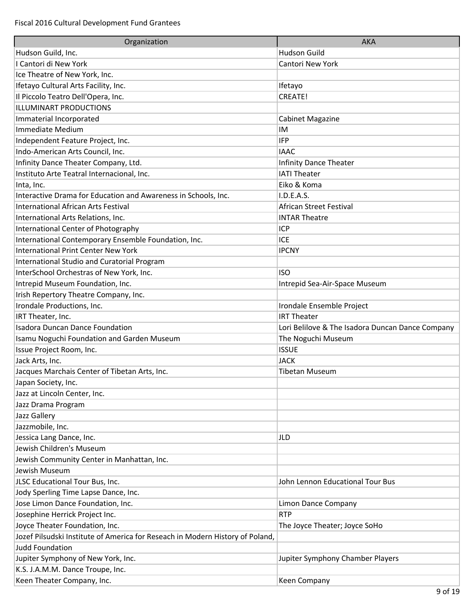| Organization                                                                  | <b>AKA</b>                                       |
|-------------------------------------------------------------------------------|--------------------------------------------------|
| Hudson Guild, Inc.                                                            | <b>Hudson Guild</b>                              |
| I Cantori di New York                                                         | <b>Cantori New York</b>                          |
| Ice Theatre of New York, Inc.                                                 |                                                  |
| Ifetayo Cultural Arts Facility, Inc.                                          | Ifetayo                                          |
| Il Piccolo Teatro Dell'Opera, Inc.                                            | CREATE!                                          |
| <b>ILLUMINART PRODUCTIONS</b>                                                 |                                                  |
| Immaterial Incorporated                                                       | <b>Cabinet Magazine</b>                          |
| Immediate Medium                                                              | IM                                               |
| Independent Feature Project, Inc.                                             | <b>IFP</b>                                       |
| Indo-American Arts Council, Inc.                                              | <b>IAAC</b>                                      |
| Infinity Dance Theater Company, Ltd.                                          | <b>Infinity Dance Theater</b>                    |
| Instituto Arte Teatral Internacional, Inc.                                    | <b>IATI Theater</b>                              |
| Inta, Inc.                                                                    | Eiko & Koma                                      |
| Interactive Drama for Education and Awareness in Schools, Inc.                | I.D.E.A.S.                                       |
| <b>International African Arts Festival</b>                                    | African Street Festival                          |
| International Arts Relations, Inc.                                            | <b>INTAR Theatre</b>                             |
| International Center of Photography                                           | ICP                                              |
| International Contemporary Ensemble Foundation, Inc.                          | <b>ICE</b>                                       |
| <b>International Print Center New York</b>                                    | <b>IPCNY</b>                                     |
| <b>International Studio and Curatorial Program</b>                            |                                                  |
| InterSchool Orchestras of New York, Inc.                                      | <b>ISO</b>                                       |
| Intrepid Museum Foundation, Inc.                                              | Intrepid Sea-Air-Space Museum                    |
| Irish Repertory Theatre Company, Inc.                                         |                                                  |
| Irondale Productions, Inc.                                                    | Irondale Ensemble Project                        |
| IRT Theater, Inc.                                                             | <b>IRT Theater</b>                               |
| <b>Isadora Duncan Dance Foundation</b>                                        | Lori Belilove & The Isadora Duncan Dance Company |
| Isamu Noguchi Foundation and Garden Museum                                    | The Noguchi Museum                               |
| Issue Project Room, Inc.                                                      | <b>ISSUE</b>                                     |
| Jack Arts, Inc.                                                               | <b>JACK</b>                                      |
| Jacques Marchais Center of Tibetan Arts, Inc.                                 | <b>Tibetan Museum</b>                            |
| Japan Society, Inc.                                                           |                                                  |
| Jazz at Lincoln Center, Inc.                                                  |                                                  |
| Jazz Drama Program                                                            |                                                  |
| Jazz Gallery                                                                  |                                                  |
| Jazzmobile, Inc.                                                              |                                                  |
| Jessica Lang Dance, Inc.                                                      | JLD                                              |
| Jewish Children's Museum                                                      |                                                  |
| Jewish Community Center in Manhattan, Inc.                                    |                                                  |
| Jewish Museum                                                                 |                                                  |
| JLSC Educational Tour Bus, Inc.                                               | John Lennon Educational Tour Bus                 |
| Jody Sperling Time Lapse Dance, Inc.                                          |                                                  |
| Jose Limon Dance Foundation, Inc.                                             | Limon Dance Company                              |
| Josephine Herrick Project Inc.                                                | <b>RTP</b>                                       |
| Joyce Theater Foundation, Inc.                                                | The Joyce Theater; Joyce SoHo                    |
| Jozef Pilsudski Institute of America for Reseach in Modern History of Poland, |                                                  |
| <b>Judd Foundation</b>                                                        |                                                  |
| Jupiter Symphony of New York, Inc.                                            | Jupiter Symphony Chamber Players                 |
| K.S. J.A.M.M. Dance Troupe, Inc.                                              |                                                  |
| Keen Theater Company, Inc.                                                    | <b>Keen Company</b>                              |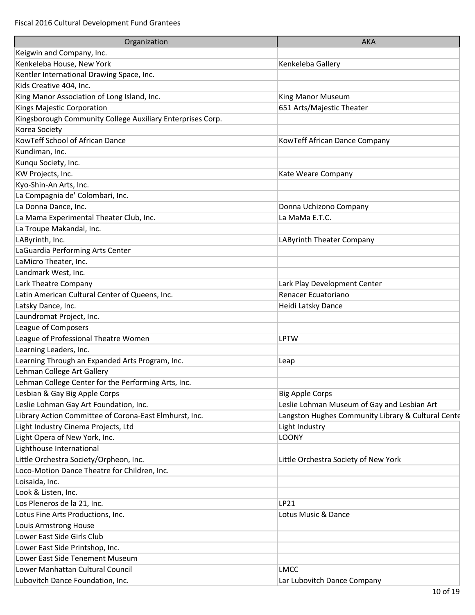| Organization                                               | <b>AKA</b>                                         |
|------------------------------------------------------------|----------------------------------------------------|
| Keigwin and Company, Inc.                                  |                                                    |
| Kenkeleba House, New York                                  | Kenkeleba Gallery                                  |
| Kentler International Drawing Space, Inc.                  |                                                    |
| Kids Creative 404, Inc.                                    |                                                    |
| King Manor Association of Long Island, Inc.                | King Manor Museum                                  |
| Kings Majestic Corporation                                 | 651 Arts/Majestic Theater                          |
| Kingsborough Community College Auxiliary Enterprises Corp. |                                                    |
| Korea Society                                              |                                                    |
| KowTeff School of African Dance                            | KowTeff African Dance Company                      |
| Kundiman, Inc.                                             |                                                    |
| Kunqu Society, Inc.                                        |                                                    |
| KW Projects, Inc.                                          | Kate Weare Company                                 |
| Kyo-Shin-An Arts, Inc.                                     |                                                    |
| La Compagnia de' Colombari, Inc.                           |                                                    |
| La Donna Dance, Inc.                                       | Donna Uchizono Company                             |
| La Mama Experimental Theater Club, Inc.                    | La MaMa E.T.C.                                     |
| La Troupe Makandal, Inc.                                   |                                                    |
| LAByrinth, Inc.                                            | LAByrinth Theater Company                          |
| LaGuardia Performing Arts Center                           |                                                    |
| LaMicro Theater, Inc.                                      |                                                    |
| Landmark West, Inc.                                        |                                                    |
| Lark Theatre Company                                       | Lark Play Development Center                       |
| Latin American Cultural Center of Queens, Inc.             | Renacer Ecuatoriano                                |
| Latsky Dance, Inc.                                         | Heidi Latsky Dance                                 |
| Laundromat Project, Inc.                                   |                                                    |
| League of Composers                                        |                                                    |
| League of Professional Theatre Women                       | <b>LPTW</b>                                        |
| Learning Leaders, Inc.                                     |                                                    |
| Learning Through an Expanded Arts Program, Inc.            | Leap                                               |
| Lehman College Art Gallery                                 |                                                    |
| Lehman College Center for the Performing Arts, Inc.        |                                                    |
| Lesbian & Gay Big Apple Corps                              | <b>Big Apple Corps</b>                             |
| Leslie Lohman Gay Art Foundation, Inc.                     | Leslie Lohman Museum of Gay and Lesbian Art        |
| Library Action Committee of Corona-East Elmhurst, Inc.     | Langston Hughes Community Library & Cultural Cente |
| Light Industry Cinema Projects, Ltd                        | Light Industry                                     |
| Light Opera of New York, Inc.                              | <b>LOONY</b>                                       |
| Lighthouse International                                   |                                                    |
| Little Orchestra Society/Orpheon, Inc.                     | Little Orchestra Society of New York               |
| Loco-Motion Dance Theatre for Children, Inc.               |                                                    |
| Loisaida, Inc.                                             |                                                    |
| Look & Listen, Inc.                                        |                                                    |
| Los Pleneros de la 21, Inc.                                | LP21                                               |
| Lotus Fine Arts Productions, Inc.                          | Lotus Music & Dance                                |
| Louis Armstrong House                                      |                                                    |
| Lower East Side Girls Club                                 |                                                    |
| Lower East Side Printshop, Inc.                            |                                                    |
| Lower East Side Tenement Museum                            |                                                    |
| Lower Manhattan Cultural Council                           | <b>LMCC</b>                                        |
| Lubovitch Dance Foundation, Inc.                           | Lar Lubovitch Dance Company                        |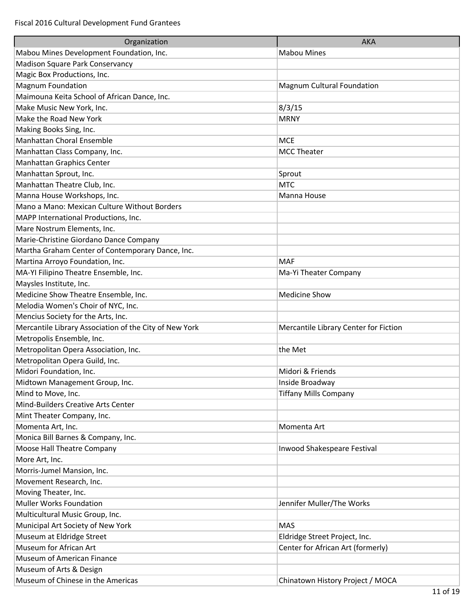| Organization                                           | <b>AKA</b>                            |
|--------------------------------------------------------|---------------------------------------|
| Mabou Mines Development Foundation, Inc.               | <b>Mabou Mines</b>                    |
| Madison Square Park Conservancy                        |                                       |
| Magic Box Productions, Inc.                            |                                       |
| <b>Magnum Foundation</b>                               | Magnum Cultural Foundation            |
| Maimouna Keita School of African Dance, Inc.           |                                       |
| Make Music New York, Inc.                              | 8/3/15                                |
| Make the Road New York                                 | <b>MRNY</b>                           |
| Making Books Sing, Inc.                                |                                       |
| Manhattan Choral Ensemble                              | <b>MCE</b>                            |
| Manhattan Class Company, Inc.                          | <b>MCC Theater</b>                    |
| Manhattan Graphics Center                              |                                       |
| Manhattan Sprout, Inc.                                 | Sprout                                |
| Manhattan Theatre Club, Inc.                           | <b>MTC</b>                            |
| Manna House Workshops, Inc.                            | Manna House                           |
| Mano a Mano: Mexican Culture Without Borders           |                                       |
| MAPP International Productions, Inc.                   |                                       |
| Mare Nostrum Elements, Inc.                            |                                       |
| Marie-Christine Giordano Dance Company                 |                                       |
| Martha Graham Center of Contemporary Dance, Inc.       |                                       |
| Martina Arroyo Foundation, Inc.                        | <b>MAF</b>                            |
| MA-YI Filipino Theatre Ensemble, Inc.                  | Ma-Yi Theater Company                 |
| Maysles Institute, Inc.                                |                                       |
| Medicine Show Theatre Ensemble, Inc.                   | <b>Medicine Show</b>                  |
| Melodia Women's Choir of NYC, Inc.                     |                                       |
| Mencius Society for the Arts, Inc.                     |                                       |
| Mercantile Library Association of the City of New York | Mercantile Library Center for Fiction |
| Metropolis Ensemble, Inc.                              |                                       |
| Metropolitan Opera Association, Inc.                   | the Met                               |
| Metropolitan Opera Guild, Inc.                         |                                       |
| Midori Foundation, Inc.                                | Midori & Friends                      |
| Midtown Management Group, Inc.                         | Inside Broadway                       |
| Mind to Move, Inc.                                     | <b>Tiffany Mills Company</b>          |
| Mind-Builders Creative Arts Center                     |                                       |
| Mint Theater Company, Inc.                             |                                       |
| Momenta Art, Inc.                                      | Momenta Art                           |
| Monica Bill Barnes & Company, Inc.                     |                                       |
| Moose Hall Theatre Company                             | Inwood Shakespeare Festival           |
| More Art, Inc.                                         |                                       |
| Morris-Jumel Mansion, Inc.                             |                                       |
| Movement Research, Inc.                                |                                       |
| Moving Theater, Inc.                                   |                                       |
| <b>Muller Works Foundation</b>                         | Jennifer Muller/The Works             |
| Multicultural Music Group, Inc.                        |                                       |
| Municipal Art Society of New York                      | <b>MAS</b>                            |
| Museum at Eldridge Street                              | Eldridge Street Project, Inc.         |
| Museum for African Art                                 | Center for African Art (formerly)     |
| Museum of American Finance                             |                                       |
| Museum of Arts & Design                                |                                       |
| Museum of Chinese in the Americas                      | Chinatown History Project / MOCA      |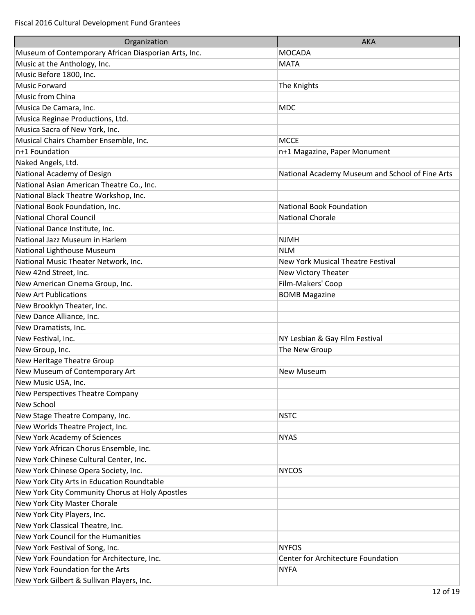| Organization                                         | <b>AKA</b>                                      |
|------------------------------------------------------|-------------------------------------------------|
| Museum of Contemporary African Diasporian Arts, Inc. | <b>MOCADA</b>                                   |
| Music at the Anthology, Inc.                         | <b>MATA</b>                                     |
| Music Before 1800, Inc.                              |                                                 |
| <b>Music Forward</b>                                 | The Knights                                     |
| Music from China                                     |                                                 |
| Musica De Camara, Inc.                               | <b>MDC</b>                                      |
| Musica Reginae Productions, Ltd.                     |                                                 |
| Musica Sacra of New York, Inc.                       |                                                 |
| Musical Chairs Chamber Ensemble, Inc.                | <b>MCCE</b>                                     |
| n+1 Foundation                                       | n+1 Magazine, Paper Monument                    |
| Naked Angels, Ltd.                                   |                                                 |
| National Academy of Design                           | National Academy Museum and School of Fine Arts |
| National Asian American Theatre Co., Inc.            |                                                 |
| National Black Theatre Workshop, Inc.                |                                                 |
| National Book Foundation, Inc.                       | <b>National Book Foundation</b>                 |
| <b>National Choral Council</b>                       | <b>National Chorale</b>                         |
| National Dance Institute, Inc.                       |                                                 |
| National Jazz Museum in Harlem                       | <b>NJMH</b>                                     |
| National Lighthouse Museum                           | <b>NLM</b>                                      |
| National Music Theater Network, Inc.                 | <b>New York Musical Theatre Festival</b>        |
| New 42nd Street, Inc.                                | New Victory Theater                             |
| New American Cinema Group, Inc.                      | Film-Makers' Coop                               |
| <b>New Art Publications</b>                          | <b>BOMB Magazine</b>                            |
| New Brooklyn Theater, Inc.                           |                                                 |
| New Dance Alliance, Inc.                             |                                                 |
| New Dramatists, Inc.                                 |                                                 |
| New Festival, Inc.                                   | NY Lesbian & Gay Film Festival                  |
| New Group, Inc.                                      | The New Group                                   |
| New Heritage Theatre Group                           |                                                 |
| New Museum of Contemporary Art                       | <b>New Museum</b>                               |
| New Music USA, Inc.                                  |                                                 |
| New Perspectives Theatre Company                     |                                                 |
| New School                                           |                                                 |
| New Stage Theatre Company, Inc.                      | <b>NSTC</b>                                     |
| New Worlds Theatre Project, Inc.                     |                                                 |
| New York Academy of Sciences                         | <b>NYAS</b>                                     |
| New York African Chorus Ensemble, Inc.               |                                                 |
| New York Chinese Cultural Center, Inc.               |                                                 |
| New York Chinese Opera Society, Inc.                 | <b>NYCOS</b>                                    |
| New York City Arts in Education Roundtable           |                                                 |
| New York City Community Chorus at Holy Apostles      |                                                 |
| New York City Master Chorale                         |                                                 |
| New York City Players, Inc.                          |                                                 |
| New York Classical Theatre, Inc.                     |                                                 |
| New York Council for the Humanities                  |                                                 |
| New York Festival of Song, Inc.                      | <b>NYFOS</b>                                    |
| New York Foundation for Architecture, Inc.           | Center for Architecture Foundation              |
| New York Foundation for the Arts                     | <b>NYFA</b>                                     |
| New York Gilbert & Sullivan Players, Inc.            |                                                 |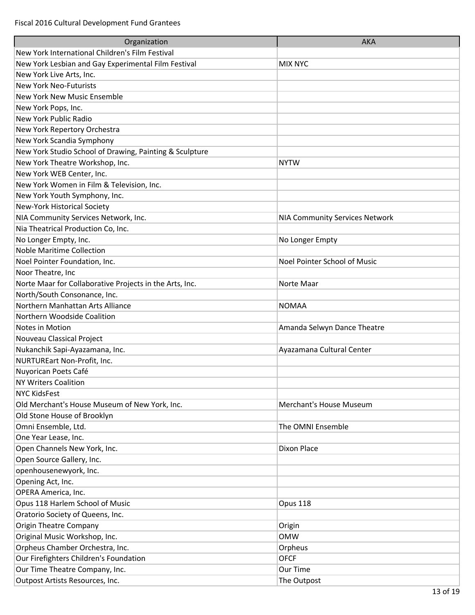| Organization                                            | <b>AKA</b>                     |
|---------------------------------------------------------|--------------------------------|
| New York International Children's Film Festival         |                                |
| New York Lesbian and Gay Experimental Film Festival     | <b>MIX NYC</b>                 |
| New York Live Arts, Inc.                                |                                |
| <b>New York Neo-Futurists</b>                           |                                |
| <b>New York New Music Ensemble</b>                      |                                |
| New York Pops, Inc.                                     |                                |
| New York Public Radio                                   |                                |
| New York Repertory Orchestra                            |                                |
| New York Scandia Symphony                               |                                |
| New York Studio School of Drawing, Painting & Sculpture |                                |
| New York Theatre Workshop, Inc.                         | <b>NYTW</b>                    |
| New York WEB Center, Inc.                               |                                |
| New York Women in Film & Television, Inc.               |                                |
| New York Youth Symphony, Inc.                           |                                |
| New-York Historical Society                             |                                |
| NIA Community Services Network, Inc.                    | NIA Community Services Network |
| Nia Theatrical Production Co, Inc.                      |                                |
| No Longer Empty, Inc.                                   | No Longer Empty                |
| <b>Noble Maritime Collection</b>                        |                                |
| Noel Pointer Foundation, Inc.                           | Noel Pointer School of Music   |
| Noor Theatre, Inc                                       |                                |
| Norte Maar for Collaborative Projects in the Arts, Inc. | Norte Maar                     |
| North/South Consonance, Inc.                            |                                |
| Northern Manhattan Arts Alliance                        | <b>NOMAA</b>                   |
| Northern Woodside Coalition                             |                                |
| Notes in Motion                                         | Amanda Selwyn Dance Theatre    |
| Nouveau Classical Project                               |                                |
| Nukanchik Sapi-Ayazamana, Inc.                          | Ayazamana Cultural Center      |
| NURTUREart Non-Profit, Inc.                             |                                |
| Nuyorican Poets Café                                    |                                |
| <b>NY Writers Coalition</b>                             |                                |
| <b>NYC KidsFest</b>                                     |                                |
| Old Merchant's House Museum of New York, Inc.           | Merchant's House Museum        |
| Old Stone House of Brooklyn                             |                                |
| Omni Ensemble, Ltd.                                     | The OMNI Ensemble              |
| One Year Lease, Inc.                                    |                                |
| Open Channels New York, Inc.                            | Dixon Place                    |
| Open Source Gallery, Inc.                               |                                |
| openhousenewyork, Inc.                                  |                                |
| Opening Act, Inc.                                       |                                |
| OPERA America, Inc.                                     |                                |
| Opus 118 Harlem School of Music                         | Opus 118                       |
| Oratorio Society of Queens, Inc.                        |                                |
| <b>Origin Theatre Company</b>                           | Origin                         |
| Original Music Workshop, Inc.                           | <b>OMW</b>                     |
| Orpheus Chamber Orchestra, Inc.                         | Orpheus                        |
| Our Firefighters Children's Foundation                  | <b>OFCF</b>                    |
| Our Time Theatre Company, Inc.                          | Our Time                       |
| Outpost Artists Resources, Inc.                         | The Outpost                    |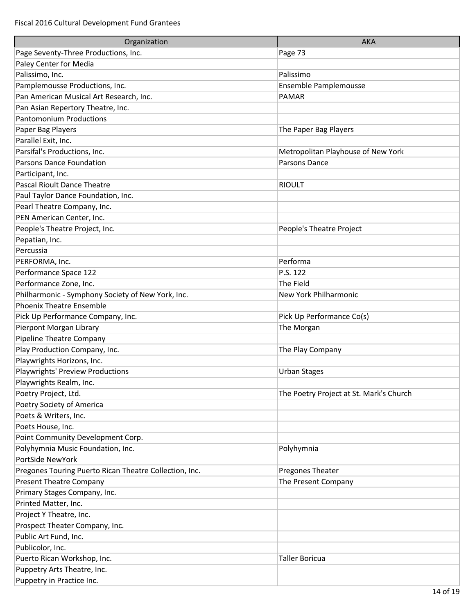| Organization                                           | <b>AKA</b>                              |
|--------------------------------------------------------|-----------------------------------------|
| Page Seventy-Three Productions, Inc.                   | Page 73                                 |
| Paley Center for Media                                 |                                         |
| Palissimo, Inc.                                        | Palissimo                               |
| Pamplemousse Productions, Inc.                         | Ensemble Pamplemousse                   |
| Pan American Musical Art Research, Inc.                | <b>PAMAR</b>                            |
| Pan Asian Repertory Theatre, Inc.                      |                                         |
| <b>Pantomonium Productions</b>                         |                                         |
| Paper Bag Players                                      | The Paper Bag Players                   |
| Parallel Exit, Inc.                                    |                                         |
| Parsifal's Productions, Inc.                           | Metropolitan Playhouse of New York      |
| Parsons Dance Foundation                               | Parsons Dance                           |
| Participant, Inc.                                      |                                         |
| Pascal Rioult Dance Theatre                            | <b>RIOULT</b>                           |
| Paul Taylor Dance Foundation, Inc.                     |                                         |
| Pearl Theatre Company, Inc.                            |                                         |
| PEN American Center, Inc.                              |                                         |
| People's Theatre Project, Inc.                         | People's Theatre Project                |
| Pepatian, Inc.                                         |                                         |
| Percussia                                              |                                         |
| PERFORMA, Inc.                                         | Performa                                |
| Performance Space 122                                  | P.S. 122                                |
| Performance Zone, Inc.                                 | The Field                               |
| Philharmonic - Symphony Society of New York, Inc.      | New York Philharmonic                   |
| <b>Phoenix Theatre Ensemble</b>                        |                                         |
| Pick Up Performance Company, Inc.                      | Pick Up Performance Co(s)               |
| Pierpont Morgan Library                                | The Morgan                              |
| Pipeline Theatre Company                               |                                         |
| Play Production Company, Inc.                          | The Play Company                        |
| Playwrights Horizons, Inc.                             |                                         |
| Playwrights' Preview Productions                       | <b>Urban Stages</b>                     |
| Playwrights Realm, Inc.                                |                                         |
| Poetry Project, Ltd.                                   | The Poetry Project at St. Mark's Church |
| Poetry Society of America                              |                                         |
| Poets & Writers, Inc.                                  |                                         |
| Poets House, Inc.                                      |                                         |
| Point Community Development Corp.                      |                                         |
| Polyhymnia Music Foundation, Inc.                      | Polyhymnia                              |
| PortSide NewYork                                       |                                         |
| Pregones Touring Puerto Rican Theatre Collection, Inc. | Pregones Theater                        |
| <b>Present Theatre Company</b>                         | The Present Company                     |
| Primary Stages Company, Inc.                           |                                         |
| Printed Matter, Inc.                                   |                                         |
| Project Y Theatre, Inc.                                |                                         |
| Prospect Theater Company, Inc.                         |                                         |
| Public Art Fund, Inc.                                  |                                         |
| Publicolor, Inc.                                       |                                         |
| Puerto Rican Workshop, Inc.                            | <b>Taller Boricua</b>                   |
| Puppetry Arts Theatre, Inc.                            |                                         |
| Puppetry in Practice Inc.                              |                                         |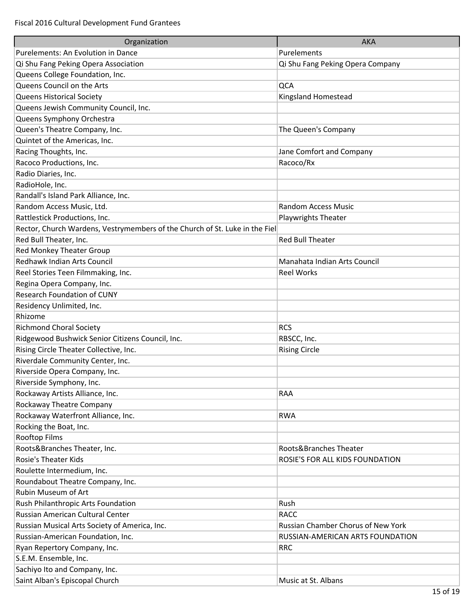| Organization                                                                | <b>AKA</b>                         |
|-----------------------------------------------------------------------------|------------------------------------|
| Purelements: An Evolution in Dance                                          | Purelements                        |
| Qi Shu Fang Peking Opera Association                                        | Qi Shu Fang Peking Opera Company   |
| Queens College Foundation, Inc.                                             |                                    |
| Queens Council on the Arts                                                  | QCA                                |
| <b>Queens Historical Society</b>                                            | Kingsland Homestead                |
| Queens Jewish Community Council, Inc.                                       |                                    |
| Queens Symphony Orchestra                                                   |                                    |
| Queen's Theatre Company, Inc.                                               | The Queen's Company                |
| Quintet of the Americas, Inc.                                               |                                    |
| Racing Thoughts, Inc.                                                       | Jane Comfort and Company           |
| Racoco Productions, Inc.                                                    | Racoco/Rx                          |
| Radio Diaries, Inc.                                                         |                                    |
| RadioHole, Inc.                                                             |                                    |
| Randall's Island Park Alliance, Inc.                                        |                                    |
| Random Access Music, Ltd.                                                   | <b>Random Access Music</b>         |
| Rattlestick Productions, Inc.                                               | <b>Playwrights Theater</b>         |
| Rector, Church Wardens, Vestrymembers of the Church of St. Luke in the Fiel |                                    |
| Red Bull Theater, Inc.                                                      | <b>Red Bull Theater</b>            |
|                                                                             |                                    |
| Red Monkey Theater Group<br>Redhawk Indian Arts Council                     | Manahata Indian Arts Council       |
|                                                                             |                                    |
| Reel Stories Teen Filmmaking, Inc.                                          | <b>Reel Works</b>                  |
| Regina Opera Company, Inc.                                                  |                                    |
| <b>Research Foundation of CUNY</b>                                          |                                    |
| Residency Unlimited, Inc.                                                   |                                    |
| Rhizome                                                                     |                                    |
| <b>Richmond Choral Society</b>                                              | <b>RCS</b>                         |
| Ridgewood Bushwick Senior Citizens Council, Inc.                            | RBSCC, Inc.                        |
| Rising Circle Theater Collective, Inc.                                      | <b>Rising Circle</b>               |
| Riverdale Community Center, Inc.                                            |                                    |
| Riverside Opera Company, Inc.                                               |                                    |
| Riverside Symphony, Inc.                                                    |                                    |
| Rockaway Artists Alliance, Inc.                                             | RAA                                |
| Rockaway Theatre Company                                                    |                                    |
| Rockaway Waterfront Alliance, Inc.                                          | <b>RWA</b>                         |
| Rocking the Boat, Inc.                                                      |                                    |
| Rooftop Films                                                               |                                    |
| Roots&Branches Theater, Inc.                                                | Roots&Branches Theater             |
| <b>Rosie's Theater Kids</b>                                                 | ROSIE'S FOR ALL KIDS FOUNDATION    |
| Roulette Intermedium, Inc.                                                  |                                    |
| Roundabout Theatre Company, Inc.                                            |                                    |
| Rubin Museum of Art                                                         |                                    |
| Rush Philanthropic Arts Foundation                                          | Rush                               |
| Russian American Cultural Center                                            | <b>RACC</b>                        |
| Russian Musical Arts Society of America, Inc.                               | Russian Chamber Chorus of New York |
| Russian-American Foundation, Inc.                                           | RUSSIAN-AMERICAN ARTS FOUNDATION   |
| Ryan Repertory Company, Inc.                                                | <b>RRC</b>                         |
| S.E.M. Ensemble, Inc.                                                       |                                    |
| Sachiyo Ito and Company, Inc.                                               |                                    |
| Saint Alban's Episcopal Church                                              | Music at St. Albans                |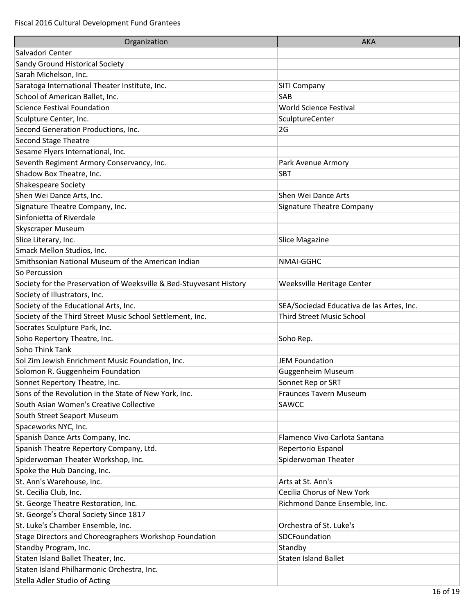| Organization                                                        | <b>AKA</b>                                |
|---------------------------------------------------------------------|-------------------------------------------|
| Salvadori Center                                                    |                                           |
| Sandy Ground Historical Society                                     |                                           |
| Sarah Michelson, Inc.                                               |                                           |
| Saratoga International Theater Institute, Inc.                      | SITI Company                              |
| School of American Ballet, Inc.                                     | SAB                                       |
| <b>Science Festival Foundation</b>                                  | <b>World Science Festival</b>             |
| Sculpture Center, Inc.                                              | SculptureCenter                           |
| Second Generation Productions, Inc.                                 | 2G                                        |
| <b>Second Stage Theatre</b>                                         |                                           |
| Sesame Flyers International, Inc.                                   |                                           |
| Seventh Regiment Armory Conservancy, Inc.                           | Park Avenue Armory                        |
| Shadow Box Theatre, Inc.                                            | <b>SBT</b>                                |
| Shakespeare Society                                                 |                                           |
| Shen Wei Dance Arts, Inc.                                           | Shen Wei Dance Arts                       |
| Signature Theatre Company, Inc.                                     | Signature Theatre Company                 |
| Sinfonietta of Riverdale                                            |                                           |
| Skyscraper Museum                                                   |                                           |
| Slice Literary, Inc.                                                | Slice Magazine                            |
| Smack Mellon Studios, Inc.                                          |                                           |
| Smithsonian National Museum of the American Indian                  | <b>NMAI-GGHC</b>                          |
| So Percussion                                                       |                                           |
| Society for the Preservation of Weeksville & Bed-Stuyvesant History | Weeksville Heritage Center                |
| Society of Illustrators, Inc.                                       |                                           |
| Society of the Educational Arts, Inc.                               | SEA/Sociedad Educativa de las Artes, Inc. |
| Society of the Third Street Music School Settlement, Inc.           | <b>Third Street Music School</b>          |
| Socrates Sculpture Park, Inc.                                       |                                           |
| Soho Repertory Theatre, Inc.                                        | Soho Rep.                                 |
| Soho Think Tank                                                     |                                           |
| Sol Zim Jewish Enrichment Music Foundation, Inc.                    | <b>JEM Foundation</b>                     |
| Solomon R. Guggenheim Foundation                                    | Guggenheim Museum                         |
| Sonnet Repertory Theatre, Inc.                                      | Sonnet Rep or SRT                         |
| Sons of the Revolution in the State of New York, Inc.               | <b>Fraunces Tavern Museum</b>             |
| South Asian Women's Creative Collective                             | SAWCC                                     |
| South Street Seaport Museum                                         |                                           |
| Spaceworks NYC, Inc.                                                |                                           |
| Spanish Dance Arts Company, Inc.                                    | Flamenco Vivo Carlota Santana             |
| Spanish Theatre Repertory Company, Ltd.                             | Repertorio Espanol                        |
| Spiderwoman Theater Workshop, Inc.                                  | Spiderwoman Theater                       |
| Spoke the Hub Dancing, Inc.                                         |                                           |
| St. Ann's Warehouse, Inc.                                           | Arts at St. Ann's                         |
| St. Cecilia Club, Inc.                                              | Cecilia Chorus of New York                |
| St. George Theatre Restoration, Inc.                                | Richmond Dance Ensemble, Inc.             |
| St. George's Choral Society Since 1817                              |                                           |
| St. Luke's Chamber Ensemble, Inc.                                   | Orchestra of St. Luke's                   |
| Stage Directors and Choreographers Workshop Foundation              | SDCFoundation                             |
| Standby Program, Inc.                                               | Standby                                   |
| Staten Island Ballet Theater, Inc.                                  | <b>Staten Island Ballet</b>               |
| Staten Island Philharmonic Orchestra, Inc.                          |                                           |
| Stella Adler Studio of Acting                                       |                                           |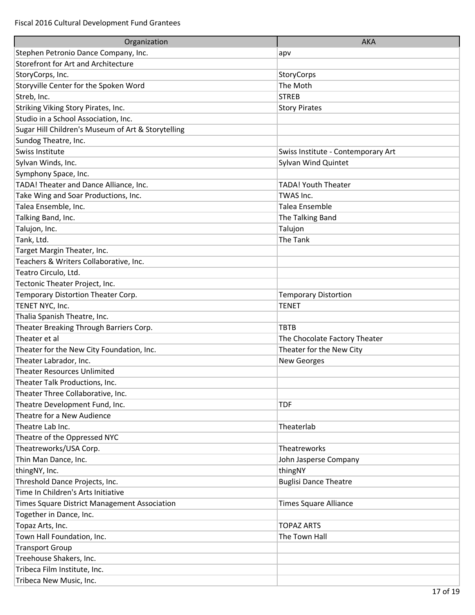| Organization                                       | <b>AKA</b>                         |
|----------------------------------------------------|------------------------------------|
| Stephen Petronio Dance Company, Inc.               | apv                                |
| Storefront for Art and Architecture                |                                    |
| StoryCorps, Inc.                                   | <b>StoryCorps</b>                  |
| Storyville Center for the Spoken Word              | The Moth                           |
| Streb, Inc.                                        | <b>STREB</b>                       |
| Striking Viking Story Pirates, Inc.                | <b>Story Pirates</b>               |
| Studio in a School Association, Inc.               |                                    |
| Sugar Hill Children's Museum of Art & Storytelling |                                    |
| Sundog Theatre, Inc.                               |                                    |
| Swiss Institute                                    | Swiss Institute - Contemporary Art |
| Sylvan Winds, Inc.                                 | Sylvan Wind Quintet                |
| Symphony Space, Inc.                               |                                    |
| TADA! Theater and Dance Alliance, Inc.             | <b>TADA! Youth Theater</b>         |
| Take Wing and Soar Productions, Inc.               | TWAS Inc.                          |
| Talea Ensemble, Inc.                               | Talea Ensemble                     |
| Talking Band, Inc.                                 | The Talking Band                   |
| Talujon, Inc.                                      | Talujon                            |
| Tank, Ltd.                                         | The Tank                           |
| Target Margin Theater, Inc.                        |                                    |
| Teachers & Writers Collaborative, Inc.             |                                    |
| Teatro Circulo, Ltd.                               |                                    |
| Tectonic Theater Project, Inc.                     |                                    |
| Temporary Distortion Theater Corp.                 | <b>Temporary Distortion</b>        |
| TENET NYC, Inc.                                    | <b>TENET</b>                       |
| Thalia Spanish Theatre, Inc.                       |                                    |
| Theater Breaking Through Barriers Corp.            | <b>TBTB</b>                        |
| Theater et al                                      | The Chocolate Factory Theater      |
| Theater for the New City Foundation, Inc.          | Theater for the New City           |
| Theater Labrador, Inc.                             | <b>New Georges</b>                 |
| <b>Theater Resources Unlimited</b>                 |                                    |
| Theater Talk Productions, Inc.                     |                                    |
| Theater Three Collaborative, Inc.                  |                                    |
| Theatre Development Fund, Inc.                     | TDF                                |
| Theatre for a New Audience                         |                                    |
| Theatre Lab Inc.                                   | Theaterlab                         |
| Theatre of the Oppressed NYC                       |                                    |
| Theatreworks/USA Corp.                             | Theatreworks                       |
| Thin Man Dance, Inc.                               | John Jasperse Company              |
| thingNY, Inc.                                      | thingNY                            |
| Threshold Dance Projects, Inc.                     | <b>Buglisi Dance Theatre</b>       |
| Time In Children's Arts Initiative                 |                                    |
| Times Square District Management Association       | Times Square Alliance              |
| Together in Dance, Inc.                            |                                    |
| Topaz Arts, Inc.                                   | <b>TOPAZ ARTS</b>                  |
| Town Hall Foundation, Inc.                         | The Town Hall                      |
| <b>Transport Group</b>                             |                                    |
| Treehouse Shakers, Inc.                            |                                    |
| Tribeca Film Institute, Inc.                       |                                    |
| Tribeca New Music, Inc.                            |                                    |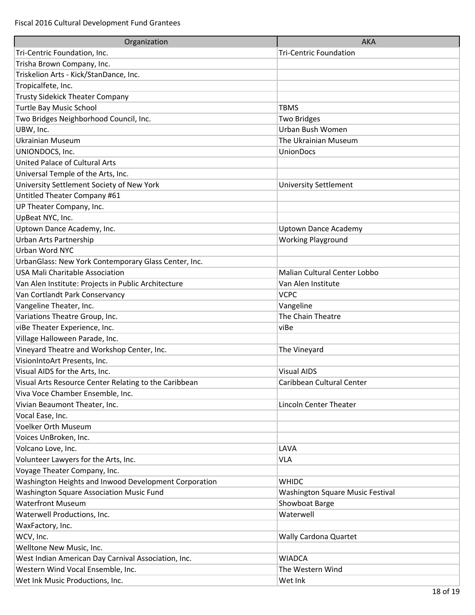| Organization                                          | <b>AKA</b>                              |
|-------------------------------------------------------|-----------------------------------------|
| Tri-Centric Foundation, Inc.                          | <b>Tri-Centric Foundation</b>           |
| Trisha Brown Company, Inc.                            |                                         |
| Triskelion Arts - Kick/StanDance, Inc.                |                                         |
| Tropicalfete, Inc.                                    |                                         |
| <b>Trusty Sidekick Theater Company</b>                |                                         |
| <b>Turtle Bay Music School</b>                        | <b>TBMS</b>                             |
| Two Bridges Neighborhood Council, Inc.                | <b>Two Bridges</b>                      |
| UBW, Inc.                                             | Urban Bush Women                        |
| <b>Ukrainian Museum</b>                               | The Ukrainian Museum                    |
| UNIONDOCS, Inc.                                       | <b>UnionDocs</b>                        |
| United Palace of Cultural Arts                        |                                         |
| Universal Temple of the Arts, Inc.                    |                                         |
| University Settlement Society of New York             | <b>University Settlement</b>            |
| Untitled Theater Company #61                          |                                         |
| UP Theater Company, Inc.                              |                                         |
| UpBeat NYC, Inc.                                      |                                         |
| Uptown Dance Academy, Inc.                            | <b>Uptown Dance Academy</b>             |
| Urban Arts Partnership                                | <b>Working Playground</b>               |
| Urban Word NYC                                        |                                         |
| UrbanGlass: New York Contemporary Glass Center, Inc.  |                                         |
| <b>USA Mali Charitable Association</b>                | Malian Cultural Center Lobbo            |
| Van Alen Institute: Projects in Public Architecture   | Van Alen Institute                      |
| Van Cortlandt Park Conservancy                        | <b>VCPC</b>                             |
| Vangeline Theater, Inc.                               | Vangeline                               |
| Variations Theatre Group, Inc.                        | The Chain Theatre                       |
| viBe Theater Experience, Inc.                         | viBe                                    |
| Village Halloween Parade, Inc.                        |                                         |
| Vineyard Theatre and Workshop Center, Inc.            | The Vineyard                            |
| VisionIntoArt Presents, Inc.                          |                                         |
| Visual AIDS for the Arts, Inc.                        | <b>Visual AIDS</b>                      |
| Visual Arts Resource Center Relating to the Caribbean | Caribbean Cultural Center               |
| Viva Voce Chamber Ensemble, Inc.                      |                                         |
| Vivian Beaumont Theater, Inc.                         | <b>Lincoln Center Theater</b>           |
| Vocal Ease, Inc.                                      |                                         |
| Voelker Orth Museum                                   |                                         |
| Voices UnBroken, Inc.                                 |                                         |
| Volcano Love, Inc.                                    | LAVA                                    |
| Volunteer Lawyers for the Arts, Inc.                  | <b>VLA</b>                              |
| Voyage Theater Company, Inc.                          |                                         |
| Washington Heights and Inwood Development Corporation | <b>WHIDC</b>                            |
| Washington Square Association Music Fund              | <b>Washington Square Music Festival</b> |
| <b>Waterfront Museum</b>                              | Showboat Barge                          |
| Waterwell Productions, Inc.                           | Waterwell                               |
| WaxFactory, Inc.                                      |                                         |
| WCV, Inc.                                             | Wally Cardona Quartet                   |
| Welltone New Music, Inc.                              |                                         |
| West Indian American Day Carnival Association, Inc.   | <b>WIADCA</b>                           |
| Western Wind Vocal Ensemble, Inc.                     | The Western Wind                        |
| Wet Ink Music Productions, Inc.                       | Wet Ink                                 |